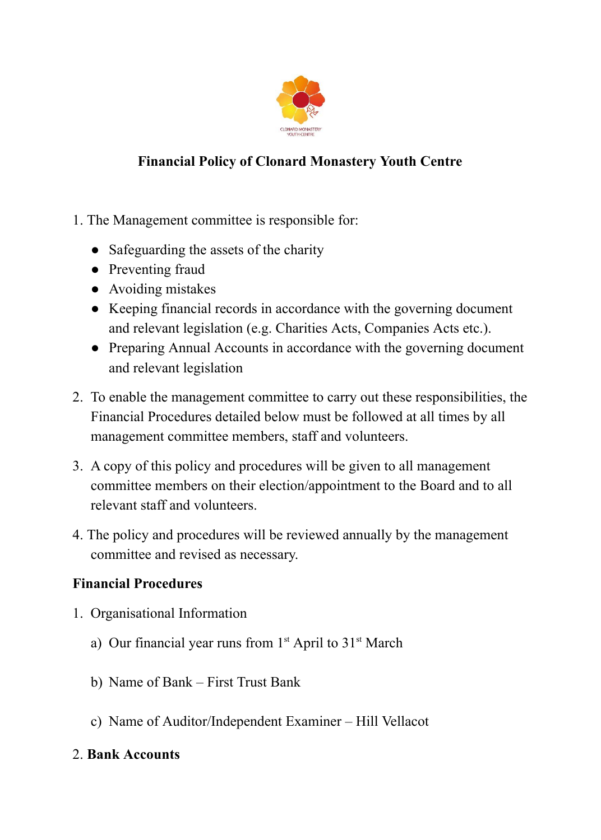

## **Financial Policy of Clonard Monastery Youth Centre**

- 1. The Management committee is responsible for:
	- Safeguarding the assets of the charity
	- Preventing fraud
	- Avoiding mistakes
	- Keeping financial records in accordance with the governing document and relevant legislation (e.g. Charities Acts, Companies Acts etc.).
	- Preparing Annual Accounts in accordance with the governing document and relevant legislation
- 2. To enable the management committee to carry out these responsibilities, the Financial Procedures detailed below must be followed at all times by all management committee members, staff and volunteers.
- 3. A copy of this policy and procedures will be given to all management committee members on their election/appointment to the Board and to all relevant staff and volunteers.
- 4. The policy and procedures will be reviewed annually by the management committee and revised as necessary.

### **Financial Procedures**

- 1. Organisational Information
	- a) Our financial year runs from  $1<sup>st</sup>$  April to  $31<sup>st</sup>$  March
	- b) Name of Bank First Trust Bank
	- c) Name of Auditor/Independent Examiner Hill Vellacot
- 2. **Bank Accounts**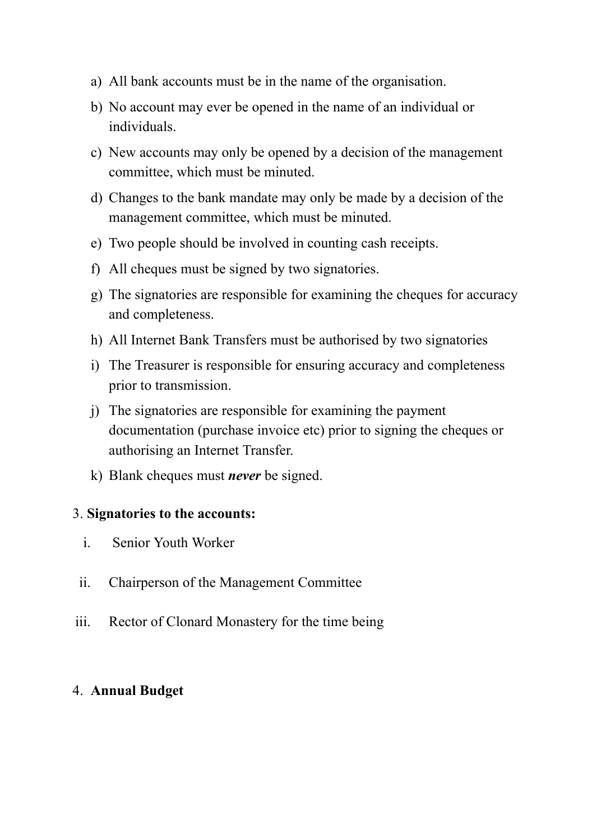- a) All bank accounts must be in the name of the organisation.
- b) No account may ever be opened in the name of an individual or individuals.
- c) New accounts may only be opened by a decision of the management committee, which must be minuted.
- d) Changes to the bank mandate may only be made by a decision of the management committee, which must be minuted.
- e) Two people should be involved in counting cash receipts.
- f) All cheques must be signed by two signatories.
- g) The signatories are responsible for examining the cheques for accuracy and completeness.
- h) All Internet Bank Transfers must be authorised by two signatories
- i) The Treasurer is responsible for ensuring accuracy and completeness prior to transmission.
- j) The signatories are responsible for examining the payment documentation (purchase invoice etc) prior to signing the cheques or authorising an Internet Transfer.
- k) Blank cheques must *never* be signed.

#### 3. **Signatories to the accounts:**

- i. Senior Youth Worker
- ii. Chairperson of the Management Committee
- iii. Rector of Clonard Monastery for the time being

### 4. **Annual Budget**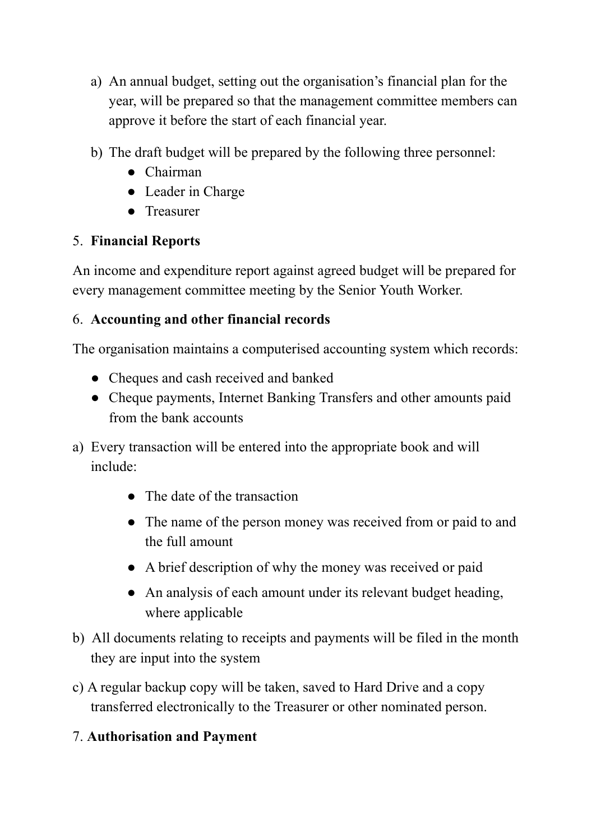- a) An annual budget, setting out the organisation's financial plan for the year, will be prepared so that the management committee members can approve it before the start of each financial year.
- b) The draft budget will be prepared by the following three personnel:
	- Chairman
	- Leader in Charge
	- Treasurer

## 5. **Financial Reports**

An income and expenditure report against agreed budget will be prepared for every management committee meeting by the Senior Youth Worker.

### 6. **Accounting and other financial records**

The organisation maintains a computerised accounting system which records:

- Cheques and cash received and banked
- Cheque payments, Internet Banking Transfers and other amounts paid from the bank accounts
- a) Every transaction will be entered into the appropriate book and will include:
	- The date of the transaction
	- The name of the person money was received from or paid to and the full amount
	- A brief description of why the money was received or paid
	- An analysis of each amount under its relevant budget heading, where applicable
- b) All documents relating to receipts and payments will be filed in the month they are input into the system
- c) A regular backup copy will be taken, saved to Hard Drive and a copy transferred electronically to the Treasurer or other nominated person.

# 7. **Authorisation and Payment**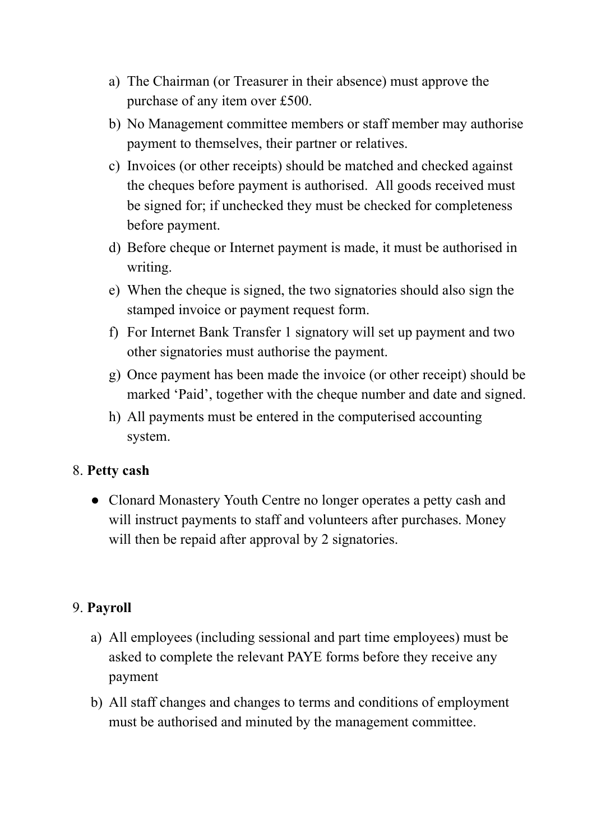- a) The Chairman (or Treasurer in their absence) must approve the purchase of any item over £500.
- b) No Management committee members or staff member may authorise payment to themselves, their partner or relatives.
- c) Invoices (or other receipts) should be matched and checked against the cheques before payment is authorised. All goods received must be signed for; if unchecked they must be checked for completeness before payment.
- d) Before cheque or Internet payment is made, it must be authorised in writing.
- e) When the cheque is signed, the two signatories should also sign the stamped invoice or payment request form.
- f) For Internet Bank Transfer 1 signatory will set up payment and two other signatories must authorise the payment.
- g) Once payment has been made the invoice (or other receipt) should be marked 'Paid', together with the cheque number and date and signed.
- h) All payments must be entered in the computerised accounting system.

### 8. **Petty cash**

● Clonard Monastery Youth Centre no longer operates a petty cash and will instruct payments to staff and volunteers after purchases. Money will then be repaid after approval by 2 signatories.

### 9. **Payroll**

- a) All employees (including sessional and part time employees) must be asked to complete the relevant PAYE forms before they receive any payment
- b) All staff changes and changes to terms and conditions of employment must be authorised and minuted by the management committee.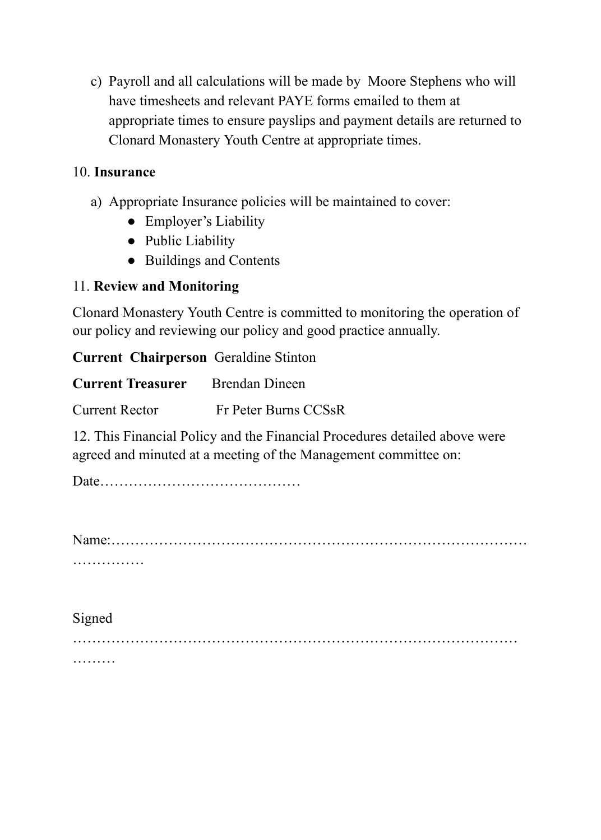c) Payroll and all calculations will be made by Moore Stephens who will have timesheets and relevant PAYE forms emailed to them at appropriate times to ensure payslips and payment details are returned to Clonard Monastery Youth Centre at appropriate times.

### 10. **Insurance**

- a) Appropriate Insurance policies will be maintained to cover:
	- Employer's Liability
	- Public Liability
	- Buildings and Contents

#### 11. **Review and Monitoring**

Clonard Monastery Youth Centre is committed to monitoring the operation of our policy and reviewing our policy and good practice annually.

#### **Current Chairperson** Geraldine Stinton

| <b>Current Treasurer</b> | Brendan Dineen       |
|--------------------------|----------------------|
| <b>Current Rector</b>    | Fr Peter Burns CCSsR |

12. This Financial Policy and the Financial Procedures detailed above were agreed and minuted at a meeting of the Management committee on:

Date……………………………………

Name:…………………………………………………………………………… ……………

Signed ………………………………………………………………………………… ………